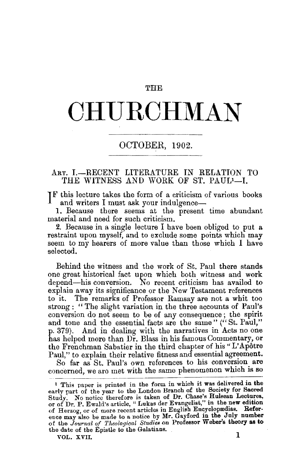#### **THE**

# **CHURCHMAN**

## OCTOBER, 1902.

## ART. I.-RECENT LITERATURE IN RELATION TO THE WITNESS AND WORK OF ST. PAUL<sup>1</sup>-L.

 $I<sup>F</sup>$  this lecture takes the form of a criticism of various books and writers I must ask your indulgence--

1. Because there seems at the present time abundant material and need for such criticism.

2. Because in a single lecture I have been obliged to put a restraint upon myself, and to exclude some points which may seem to my hearers of more value than those which I have selected.

Behind the witness and the work of St. Paul there stands one great historical fact upon which both witness and work depend-his conversion. No recent criticism has availed to explain away its significance or the New Testament references to it. The remarks of Professor Ramsay are not a whit too strong: "The slight variation in the three accounts of Paul's conversion do not seem to be of any consequence ; the spirit and tone and the essential facts are the same" ("St. Paul," p. 379). And in dealing with the narratives in Acts no one has helped more than Dr. Blass in his famous Commentary, or the Frenchman Sabatier in the third chapter of his "L'Apôtre Paul," to explain their relative fitness and essential agreement.

So far as St. Paul's own references to his conversion are concerned, we are met with the same phenomenon which is so

 $\text{vol. } \text{XVII.}$  1

<sup>1</sup> This paper is printed in the form in which it was delivered in the early part of the year to the London Branch of the Society for Sacred Study. No notice therefore is taken of Dr. Chase's Hulsean Lectures, or of Dr. P. Ewald's article, "Lukas der Evangelist," in the new edition<br>of Herzog, or of more recent articles in English Encyclopædias. Reference may also be made to a notice by Mr. Gayford in the July number of the *Jow·nal ()( Theological Studies* on Professor Weber's theory as to the date of the Epistle to the Galatians.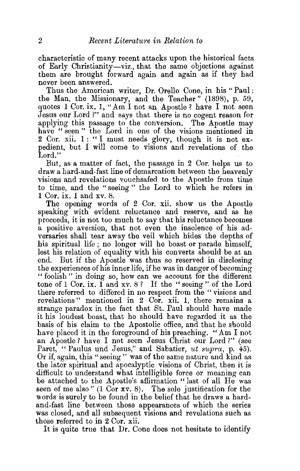characteristic of many recent attacks upon the historical facts of Early Christianity-viz., that the same objections against them are brought forward again and again as if they had never been answered.

Thus the American writer, Dr. Orello Cone, in his "Paul: the Man, the Missionary, and the Teacher" (1898), p. 59, quotes 1 Cor. ix. 1, "Am I not an Apostle ? have I not seen Jesus our Lord ?" and says that there is no cogent reason for applying this passage to the conversion. The Apostle may have " seen " the Lord in one of the visions mentioned in 2 Cor. xii.  $1: "I must needs glory, though it is not ex$ pedient, but I will come to visions and revelations of the Lord."

But, as a matter of fact, the passage in 2 Cor. helps us to draw a hard-and-fast line of demarcation between the heavenly visions and revelations vouchsafed to the Apostle from time to time, and the "seeing" the Lord to which he refers in 1 Cor. ix. 1 and xv. 8.

The opening words of 2 Cor. xii. show us the Apostle speaking with evident reluctance and reserve, and as he proceeds, it is not too much to say that his reluctance becomes a positive aversion, that not even the insolence of his adversaries shall tear away the veil which hides the depths of his spiritual life ; no longer will he boast or parade himself, lest his relation of equality with his converts should be at an end. But if the Apostle was thus so reserved in disclosing the experiences of his inner life, if he was in danger of becoming " foolish" in doing so, how can we account for the different tone of 1 Cor. ix.  $1 \nmod xv$ . 8? If the "seeing" of the Lord there referred to differed in no respect from the " visions and revelations" mentioned in 2 Cor. xii. 1, there remains a strange paradox in the fact that St. Paul should have made it his loudest boast, that he should have regarded it as the basis of his claim to the Apostolic office, and that he should have placed it in the foreground of his preaching. "Am I not an Apostle? have I not seen Jesus Christ our Lord?" (see Paret, " Paulus und Jesus," and Sabatier, *ut supra*, p. 45). Or if, again, this "seeing " was of the same nature and kind as the later spiritual and apocalyptic visions of Christ, then it is difficult to understand what intelligible force or meaning can be attached to the Apostle's affirmation "last of all He was seen of me also "  $(1 \text{ Cor } xv. 8)$ . The sole justification for the words is surely to be found in the belief that he draws a hardand-fast line between those appearances of which the series was closed, and all subsequent visions and revelations such as those referred to in 2 Cor. xii.

It is quite true that Dr. Cone does not hesitate to identify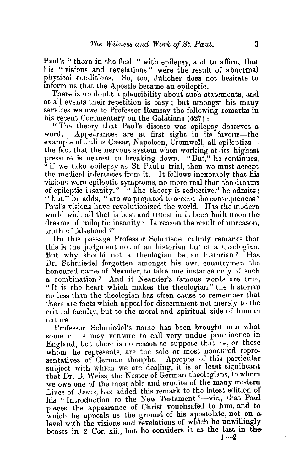Paul's " thorn in the flesh " with epilepsy, and to affirm, that his "visions and revelations " were the result of abnormal· physical conditions. So, too, Jülicher does not hesitate to inform us that the Apostle became an epileptic.

There is no doubt a plausibility about such statements, and at all events their repetition is easy ; but amongst his many services we owe to Professor Ramsav the following remarks in his recent Commentary on the Galatians (427):

"The theory that Paul's disease was epilepsy deserves a Appearances are at first sight in its favour-the example of Julius Cæsar, Napoleon, Cromwell, all epilepticsthe fact that the nervous system when working at. its highest pressure is nearest to breaking down. "But," he continues, " if we take epilepsy as St. Paul's trial, then we must accept the medical inferences from it. It follows inexorably that his visions were epileptic symptoms, no more real than the dreams of epileptic insanity." ""The theory is seductive," he admits; " but," he adds, "are we prepared to accept the consequences? Paul's visions have revolutionized the world. Has the modern world with all that is best and truest in it been built upon the dreams of epileptic insanity? Is reason the result of unreason, truth of falsehood ?"

On this passage Professor Schmiedel calmly remarks that this is the judgment not of an historian but of a theologian. But why should not a theologian be. an historian? Has Dr. Schmiedel forgotten amongst his own countrymen the honoured name of Neander, to take one instance only of such a combination? And if Neander's famous words are true, "It is the heart which makes the theologian," the historian no less than the theologian has often cause to remember that there are facts which appeal for discernment not merely to the critical faculty, but to the moml and spiritual side of human nature.

Professor Schmiedel's name has been brought into what some of us may venture to call very undue prominence in England, but there is no reason to suppose that he, or those whom he represents, are the sole or most honoured representatives of German thought. Apropos of this particularsubject with which we are dealing, it is at least significant that Dr. B. Weiss, the Nestor of German theologians, to whom we owe one of the most able and erudite of the many modern Lives of Jesus, has added this remark to the latest edition of his "Introduction to the New Testament "-viz., that Paul places the appearance of Christ vouchsafed to him, and to which he appeals as the ground of his apostolate, not on a level with the visions and revelations of which he unwillingly boasts in 2 Cor. xii., but he considers it as the last in the  $1-2$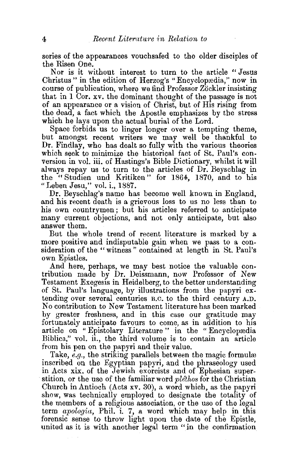series of the appearances vouchsafed to the older disciples of the Risen One.

Nor is it without interest to turn to the article "Jesus Christus" in the edition of Herzog's "Encyclopeedia," now in course of publication, where we find Professor Zöckler insisting that in  $1$  Cor.  $xv$ , the dominant thought of the passage is not of an appearance or a vision of Christ, but of His rising from the dead, a fact which the Apostle emphasizes by the stress which he lays upon the actual burial of the Lord.

Space forbids us to linger longer over a tempting theme, but amongst recent writers we may well be thankful to Dr. Findlay, who has dealt so fully with the various theories which seek to minimize the historical fact of St. Paul's conversion in vol. iii. of Hastings's Bible Dictionary, whilst it will always repay us to turn to the articles of Dr. Beyschlag in the " Studien und Kritiken" for 1864, 1870, and to his "Leben Jesu," vol. i., 188'7.

Dr. Beyschlag's name has become well known in England, and his recent death is a grievous loss to us no less than to his own countrymen; but his articles referred to anticipate many current objections, and not only anticipate, but also answer them.

But the whole trend of recent literature is marked by a more positive and indisputable gain when we pass to a consideration of the " witness " contained at length in St. Paul's own Epistles.

And here, perhaps, we may best notice the valuable contribution made by Dr. Deissmann, now Professor of New Testament Exegesis in Heidelberg, to the better understanding of St. Paul's language, by illustrations from the papyri extending over several centuries B.C. to the third century A.D. No contribution to New Testament literature has been marked by greater freshness, and in this case our gratitude may fortunately anticipate favours to come, as in addition to his article on "Epistolary Literature" in the "Encyclopædia Biblica," vol. ii., the third volume is to contain an article from his pen on the papyri and their value.

Take, *e.g.*, the striking parallels between the magic formula inscribed on the Egyptian papyri, and the phraseology used in Acts xix. of the Jewish exorcists and of Ephesian superstition, or the use of the familiar word *ple'thos* for the Christian Church in Antioch (Acts xv. 30), a word which, as the papyri show, was technically employed to designate the totality of the members of a religious association, or the use of the legal term *apologia,* Phil. i. 7, a word which may help in this forensic sense to throw light upon the date of the Epistle, united as it is with another legal term "in the confirmation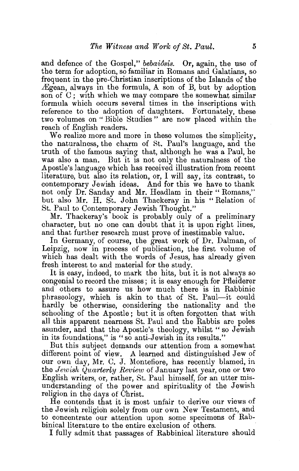and defence of the Gospel," *bebai&sis.* Or, again, the use of the term for adoption, so familiar in Romans and Galatians, so frequent in the pre-Christian inscriptions of the Islands of the  $\Delta E$ gean, always in the formula, A son of B, but by adoption son of C; with which we may compare the somewhat similar formula which occurs several times in the inscriptions with reference to the adoption of daughters. Fortunately, these two volumes on "Bible Studies" are now placed within the reach of English readers.

We realize more and more in these volumes the simplicity. the naturalness, the charm of St. Paul's language, and the truth of the famous saying that, although he was a Paul, he was also a man. But it is not only the naturalness of the Apostle's language which has received illustration from recent literature, but also its relation, or, I will say, its contrast, to contemporary Jewish ideas. And for this we have to thank not only Dr. Sanday and Mr. Headlam in their "Romans," but also Mr. H. St. John Thackeray in his "Relation of St. Paul to Contemporary Jewish Thought."

Mr. Thackeray's book is probably ouly of a preliminary character, but no one can doubt that it is upon right lines, and that further research must prove of inestimable value.

In Germany, of course, the great work of Dr. Dalman, of Leipzig, now in process of publication, the first volume of which has dealt with the words of Jesus, has already given fresh interest to and material for the study.

It is easy, indeed, to mark the hits, but it is not always so congenial to record the misses ; it is easy enough for Pfleiderer and others to assure us how much there is in Rabbinic phraseology, which is akin to that of St. Paul-it could hardly be otherwise, considering the nationality and the schooling of the Apostle; but it is often forgotten that with all this apparent nearness St. Paul and the Rabbis are poles asunder, and that the Apostle's theology, whilst "so Jewish in its foundations," is "so anti-Jewish in its results."

But this subject demands our attention from a somewhat different point of view. A learned and distinguished Jew of our own day, Mr. C. J. Montefiore, has recently blamed, in the *Jewish Quarterly Review* of January last year, one or two English writers, or, rather, St. Paul himself, for an utter misunderstanding of the power and spirituality of the Jewish religion in the days of Christ.

He contends that it is most unfair to derive our views of the Jewish religion solely from our own New Testament, and to concentrate our attention upon some specimens of Rabbinical literature to the entire exclusion of others.

I fully admit that passages of Rabbinical literature should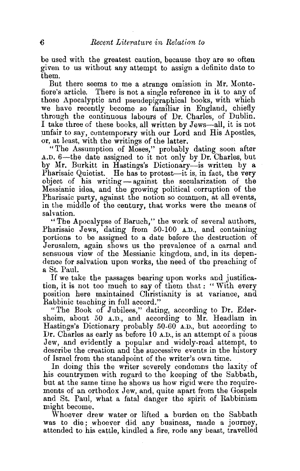be used with the greatest caution, because they are so often given to us without any attempt to assign a definite date to them.

But there seems to me a strange omission in Mr. Montefiore's article. There is not a sing1e reference in it to any of those Apocalyptic and pseudepigraphical books, with which we have recently become so familiar in England, chiefly through the continuous labours of Dr. Charles, of Dublin. I take three of these books, all written by Jews-all, it is not unfair to say, contemporary with our Lord and His Apostles, or, at least, with the writings of the latter.

"The Assumption of Moses," probably dating soon after A.D. 6-the date assigned to it not only by Dr. Charles, but by Mr. Burkitt in Hastings's Dictionary-is written by a Pharisaic Quietist. He has to protest—it is, in fact, the very object of his writing- against the secularization of the Messianic idea, and the growing political corruption of the Pharisaic party, against the notion so common, at all events, in the middle of the century, that works were the means of salvation.

"The Apocalypse of Baruch," the work of several authors, Pharisaic Jews, dating from 50-100 A.D., and containing portions to be assigned to a date before the destruction of Jerusalem, again shows us the prevalence of a carnal and sensuous view of the Messianic kingdom, and, in its dependence for salvation upon works, the need of the preaching of a St. Paul.

If we take the passages bearing upon works and justification, it is not too much to say of them that : " With every position here maintained Christianity is at variance, and Rabbinic teaching in full accord."

"The Book of Jubilees," dating, according to Dr. Edersheim, about 50 A.D., and according to Mr. Headlam in Hastings's Dictionary probably  $50-60^\circ$  A.D., but according to Dr. Charles as early as before 10 A.D., is an attempt of a pious Jew, and evidently a popular and widely-read attempt, to describe the creation and the successive events in the history of Israel from the standpoint of the writer's own time.

In doing this the writer severely condemns the laxity of his countrymen with regard to the keeping of the Sabbath, but at the same time he shows us how rigid were the requirements of an orthodox Jew, and, quite apart from the Gospels and St. Paul, what a fatal danger the spirit of Rabbinism might become.

Whoever drew water or lifted a burden on the Sabbath was to die; whoever did any business, made a journey, attended to his cattle, kindled a fire, rode any beast, travelled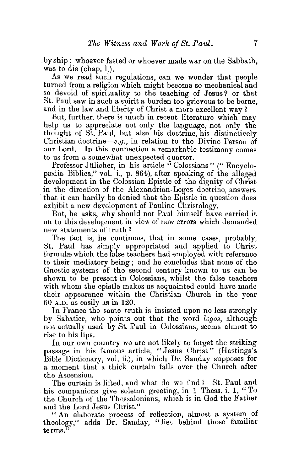. by ship ; whoever fasted or whoever made war on the Sabbath, was to die (chap. l.).

As we read such regulations, can we wonder that people turned from a religion which might become so mechanical and so devoid of spirituality to the teaching of Jesus? or that St. Paul saw in such a spirit a burden too grievous to be borne, and in the law and liberty of Christ a more excellent way?

But, further, there is much in recent literature which may help us to appreciate not only the language, not only the thought of St. Paul, but also his doctrine, his distinctively Christian doctrine—e.g., in relation to the Divine Person of our Lord. In this connection a remarkable testimony comes to us from a somewhat unexpected quarter.

Professor Jülicher, in his article "Colossians" ("Encyclopædia Biblica," vol. i., p. 864), after speaking of the alleged development in the Colossian Epistle of the dignity of Christ in the direction of the Alexandrian-Logos doctrine, answers that it can hardly be denied that the Epistle in question does exhibit a new development of Pauline Christology.

But, he asks, why should not Paul himself have carried it on to this development in view of new errors which demanded new statements of truth ?

The fact is, he continues, that in some cases, probably, St. Paul has simply appropriated and applied to Christ formulæ which the false teachers had employed with reference to their mediatory being ; and he concludes that none of the Gnostic systems of the second century known to us can be shown to be present in Colossians, whilst the false teachers with whom the epistle makes us acquainted could have made their appearance within the Christian Church in the year 60 A.D. as easily as in 120.

In France the same truth is insisted upon no less strongly by Sabatier, who points out that the word *logos,* although not actually used by St. Paul in Colossians, seems almost to rise to his lips.

In our own country we are not likely to forget the striking passage in his famous article, "Jesus Christ" (Hastings's Bible Dictionary, vol. ii.), in which Dr. Sanday supposes for a moment that a thick curtain falls over the Church after the Ascension.

The curtain is lifted, and what do we find? St. Paul and his companions give solemn greeting, in 1 Thess. i. 1, "To the Church of the Thessalonians, which is in God the Father and the Lord Jesus Christ."

" An elaborate process of reflection, almost a system of theology," adds Dr. Sanday, "lies behind those familiar terms.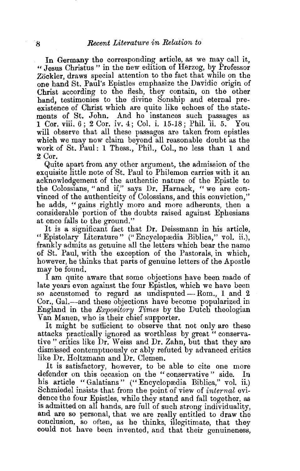In Germany the corresponding article, as we may call it. «Jesus Christus" in the new edition of Herzog, by Professor Zöckler, draws special attention to the fact that while on the one hand St. Paul's Epistles emphasize the Davidic origin of Christ according to the flesh, they contain, on the other hand, testimonies to the divine Sonship and eternal preexistence of Christ which are quite like echoes of the statements of St. John. And he instances such passages as 1 Cor. viii. 6 : 2 Cor. iv. 4 : Col. i. 15-18 : Phil. ii. 5. You will observe that all these passages are taken from epistles which we may now claim beyond all reasonable doubt as the work of St. Paul: 1 Thess., Phil., CoL, no less than 1 and 2 Cor.

Quite apart from any other argument, the admission of the exquisite little note of St. Paul to Philemon carries with it an acknowledgement of the authentic nature of the Epistle to the Colossians, "and if," says Dr. Harnack, "we are convinced of the authenticity of Colossians, and this conviction," he adds, "gains rightly more and more adherents, then a considerable portion of the doubts raised against Ephesians at once falls to the ground."

It is a significant fact that Dr. Deissmann in his article. "Epistolary Literature" (" Encyclopredia Biblica," vol. ii.), frankly admits as genuine all the letters which bear the name of St. Paul, with the exception of the Pastorals, in which, however, he thinks that parts of genuine letters of the Apostle may be found.

I am quite aware that some objections have been made of late years even against the four Epistles, which we have been so accustomed to regard as undisputed-Rom., 1 and 2 Cor., Gal.—and these objections have become popularized in England in the *Expository Times* by the Dutch theologian Van Manen, who is their chief supporter.

It might be sufficient to observe that not only are these attacks practically ignored as worthless by great « conservative" critics like Dr. Weiss and Dr. Zahn, but that they are dismissed contemptuously or ably refuted by advanced critics like Dr. Holtzmann and Dr. Clemen.

It is satisfactory, however, to be able to cite one more defender on this occasion on the "conservative" side. In his article " Galatians" ("Encyclopædia Biblica," vol. ii.) Schmiedel insists that from the point of view of internal evidence the four Epistles, while they stand and fall together, as is admitted on all hands, are full of such strong individuality, and are so personal, that we are really entitled to draw the conclusion, so often, as he thinks, illegitimate, that they could not have been invented, and that their genuineness,